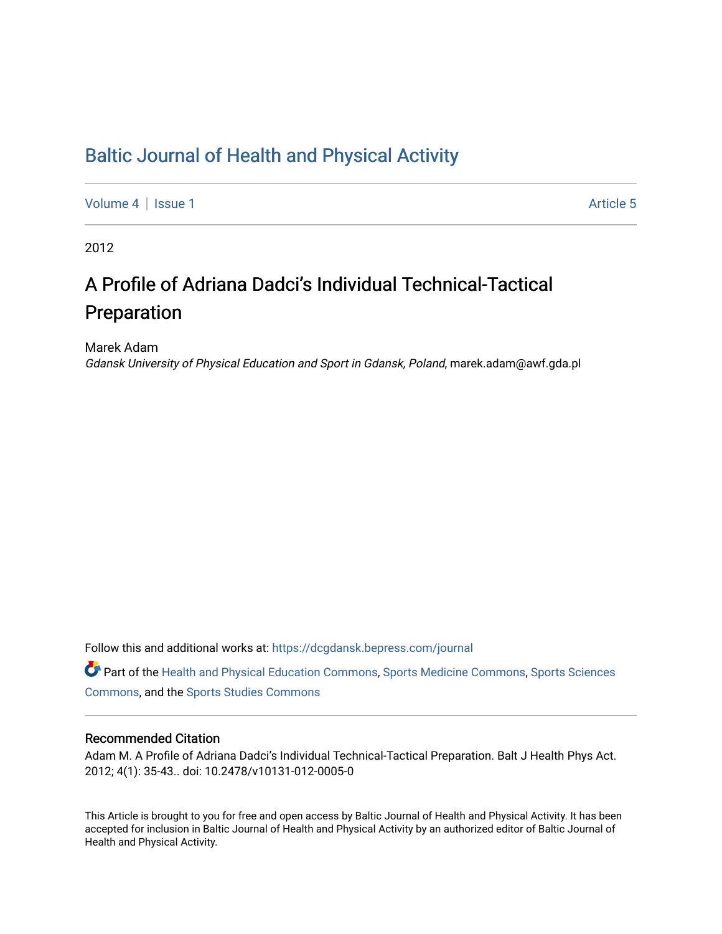## [Baltic Journal of Health and Physical Activity](https://dcgdansk.bepress.com/journal)

[Volume 4](https://dcgdansk.bepress.com/journal/vol4) | [Issue 1](https://dcgdansk.bepress.com/journal/vol4/iss1) Article 5

2012

# A Profile of Adriana Dadci's Individual Technical-Tactical Preparation

Marek Adam

Gdansk University of Physical Education and Sport in Gdansk, Poland, marek.adam@awf.gda.pl

Follow this and additional works at: [https://dcgdansk.bepress.com/journal](https://dcgdansk.bepress.com/journal?utm_source=dcgdansk.bepress.com%2Fjournal%2Fvol4%2Fiss1%2F5&utm_medium=PDF&utm_campaign=PDFCoverPages)

Part of the [Health and Physical Education Commons](http://network.bepress.com/hgg/discipline/1327?utm_source=dcgdansk.bepress.com%2Fjournal%2Fvol4%2Fiss1%2F5&utm_medium=PDF&utm_campaign=PDFCoverPages), [Sports Medicine Commons,](http://network.bepress.com/hgg/discipline/1331?utm_source=dcgdansk.bepress.com%2Fjournal%2Fvol4%2Fiss1%2F5&utm_medium=PDF&utm_campaign=PDFCoverPages) [Sports Sciences](http://network.bepress.com/hgg/discipline/759?utm_source=dcgdansk.bepress.com%2Fjournal%2Fvol4%2Fiss1%2F5&utm_medium=PDF&utm_campaign=PDFCoverPages) [Commons](http://network.bepress.com/hgg/discipline/759?utm_source=dcgdansk.bepress.com%2Fjournal%2Fvol4%2Fiss1%2F5&utm_medium=PDF&utm_campaign=PDFCoverPages), and the [Sports Studies Commons](http://network.bepress.com/hgg/discipline/1198?utm_source=dcgdansk.bepress.com%2Fjournal%2Fvol4%2Fiss1%2F5&utm_medium=PDF&utm_campaign=PDFCoverPages) 

#### Recommended Citation

Adam M. A Profile of Adriana Dadci's Individual Technical-Tactical Preparation. Balt J Health Phys Act. 2012; 4(1): 35-43.. doi: 10.2478/v10131-012-0005-0

This Article is brought to you for free and open access by Baltic Journal of Health and Physical Activity. It has been accepted for inclusion in Baltic Journal of Health and Physical Activity by an authorized editor of Baltic Journal of Health and Physical Activity.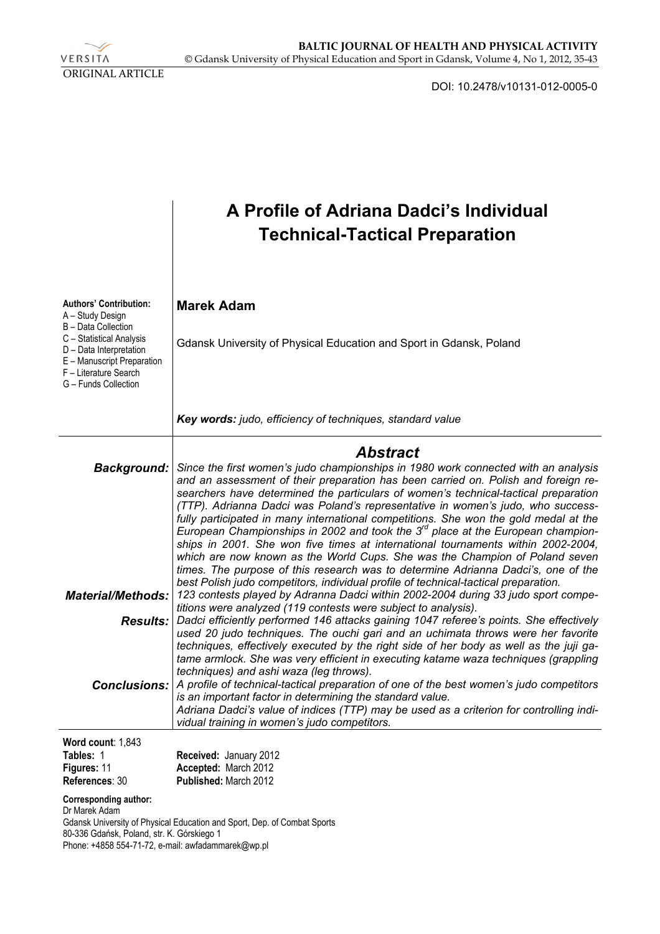

DOI: 10.2478/v10131-012-0005-0

|                                                                                                                                                                                                                | A Profile of Adriana Dadci's Individual<br><b>Technical-Tactical Preparation</b>                                                                                                                                                                                                                                                                                                                                                                                                                                                                                                                                                                                                                                                                                                                                                                                                  |  |  |  |  |  |  |
|----------------------------------------------------------------------------------------------------------------------------------------------------------------------------------------------------------------|-----------------------------------------------------------------------------------------------------------------------------------------------------------------------------------------------------------------------------------------------------------------------------------------------------------------------------------------------------------------------------------------------------------------------------------------------------------------------------------------------------------------------------------------------------------------------------------------------------------------------------------------------------------------------------------------------------------------------------------------------------------------------------------------------------------------------------------------------------------------------------------|--|--|--|--|--|--|
| <b>Authors' Contribution:</b><br>A - Study Design<br>B - Data Collection<br>C - Statistical Analysis<br>D - Data Interpretation<br>E - Manuscript Preparation<br>F - Literature Search<br>G - Funds Collection | <b>Marek Adam</b><br>Gdansk University of Physical Education and Sport in Gdansk, Poland                                                                                                                                                                                                                                                                                                                                                                                                                                                                                                                                                                                                                                                                                                                                                                                          |  |  |  |  |  |  |
|                                                                                                                                                                                                                | Key words: judo, efficiency of techniques, standard value                                                                                                                                                                                                                                                                                                                                                                                                                                                                                                                                                                                                                                                                                                                                                                                                                         |  |  |  |  |  |  |
|                                                                                                                                                                                                                | <b>Abstract</b>                                                                                                                                                                                                                                                                                                                                                                                                                                                                                                                                                                                                                                                                                                                                                                                                                                                                   |  |  |  |  |  |  |
| <b>Background:</b>                                                                                                                                                                                             | Since the first women's judo championships in 1980 work connected with an analysis<br>and an assessment of their preparation has been carried on. Polish and foreign re-<br>searchers have determined the particulars of women's technical-tactical preparation<br>(TTP). Adrianna Dadci was Poland's representative in women's judo, who success-<br>fully participated in many international competitions. She won the gold medal at the<br>European Championships in 2002 and took the $3^{rd}$ place at the European champion-<br>ships in 2001. She won five times at international tournaments within 2002-2004,<br>which are now known as the World Cups. She was the Champion of Poland seven<br>times. The purpose of this research was to determine Adrianna Dadci's, one of the<br>best Polish judo competitors, individual profile of technical-tactical preparation. |  |  |  |  |  |  |
| <b>Material/Methods:</b>                                                                                                                                                                                       | 123 contests played by Adranna Dadci within 2002-2004 during 33 judo sport compe-<br>titions were analyzed (119 contests were subject to analysis).                                                                                                                                                                                                                                                                                                                                                                                                                                                                                                                                                                                                                                                                                                                               |  |  |  |  |  |  |
| <b>Results:</b>                                                                                                                                                                                                | Dadci efficiently performed 146 attacks gaining 1047 referee's points. She effectively<br>used 20 judo techniques. The ouchi gari and an uchimata throws were her favorite<br>techniques, effectively executed by the right side of her body as well as the juji ga-<br>tame armlock. She was very efficient in executing katame waza techniques (grappling<br>techniques) and ashi waza (leg throws).                                                                                                                                                                                                                                                                                                                                                                                                                                                                            |  |  |  |  |  |  |
| <b>Conclusions:</b>                                                                                                                                                                                            | A profile of technical-tactical preparation of one of the best women's judo competitors<br>is an important factor in determining the standard value.<br>Adriana Dadci's value of indices (TTP) may be used as a criterion for controlling indi-<br>vidual training in women's judo competitors.                                                                                                                                                                                                                                                                                                                                                                                                                                                                                                                                                                                   |  |  |  |  |  |  |
| Word count: 1,843                                                                                                                                                                                              |                                                                                                                                                                                                                                                                                                                                                                                                                                                                                                                                                                                                                                                                                                                                                                                                                                                                                   |  |  |  |  |  |  |
| Tables: 1<br>Figures: 11                                                                                                                                                                                       | Received: January 2012<br>Accepted: March 2012                                                                                                                                                                                                                                                                                                                                                                                                                                                                                                                                                                                                                                                                                                                                                                                                                                    |  |  |  |  |  |  |

**References**: 30 **Published:** March 2012

**Corresponding author:** 

Dr Marek Adam

Gdansk University of Physical Education and Sport, Dep. of Combat Sports

80-336 Gdańsk, Poland, str. K. Górskiego 1

Phone: +4858 554-71-72, e-mail: awfadammarek@wp.pl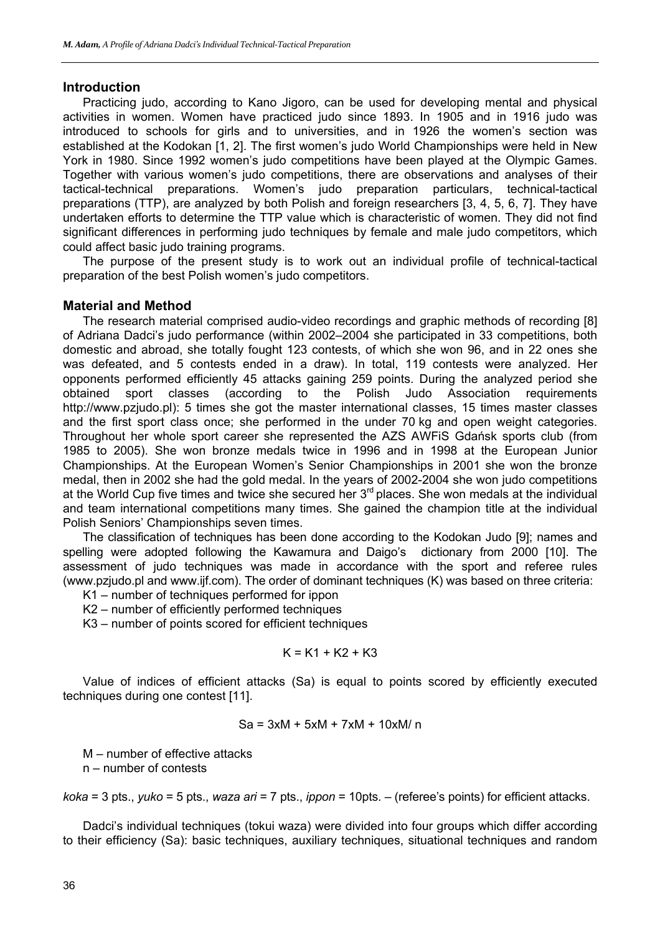#### **Introduction**

Practicing judo, according to Kano Jigoro, can be used for developing mental and physical activities in women. Women have practiced judo since 1893. In 1905 and in 1916 judo was introduced to schools for girls and to universities, and in 1926 the women's section was established at the Kodokan [1, 2]. The first women's judo World Championships were held in New York in 1980. Since 1992 women's judo competitions have been played at the Olympic Games. Together with various women's judo competitions, there are observations and analyses of their tactical-technical preparations. Women's judo preparation particulars, technical-tactical preparations (TTP), are analyzed by both Polish and foreign researchers [3, 4, 5, 6, 7]. They have undertaken efforts to determine the TTP value which is characteristic of women. They did not find significant differences in performing judo techniques by female and male judo competitors, which could affect basic judo training programs.

The purpose of the present study is to work out an individual profile of technical-tactical preparation of the best Polish women's judo competitors.

#### **Material and Method**

The research material comprised audio-video recordings and graphic methods of recording [8] of Adriana Dadci's judo performance (within 2002–2004 she participated in 33 competitions, both domestic and abroad, she totally fought 123 contests, of which she won 96, and in 22 ones she was defeated, and 5 contests ended in a draw). In total, 119 contests were analyzed. Her opponents performed efficiently 45 attacks gaining 259 points. During the analyzed period she obtained sport classes (according to the Polish Judo Association requirements http://www.pzjudo.pl): 5 times she got the master international classes, 15 times master classes and the first sport class once; she performed in the under 70 kg and open weight categories. Throughout her whole sport career she represented the AZS AWFiS Gdańsk sports club (from 1985 to 2005). She won bronze medals twice in 1996 and in 1998 at the European Junior Championships. At the European Women's Senior Championships in 2001 she won the bronze medal, then in 2002 she had the gold medal. In the years of 2002-2004 she won judo competitions at the World Cup five times and twice she secured her  $3<sup>rd</sup>$  places. She won medals at the individual and team international competitions many times. She gained the champion title at the individual Polish Seniors' Championships seven times.

The classification of techniques has been done according to the Kodokan Judo [9]; names and spelling were adopted following the Kawamura and Daigo's dictionary from 2000 [10]. The assessment of judo techniques was made in accordance with the sport and referee rules (www.pzjudo.pl and www.ijf.com). The order of dominant techniques (K) was based on three criteria:

K1 – number of techniques performed for ippon

K2 – number of efficiently performed techniques

K3 – number of points scored for efficient techniques

$$
K = K1 + K2 + K3
$$

Value of indices of efficient attacks (Sa) is equal to points scored by efficiently executed techniques during one contest [11].

$$
Sa = 3xM + 5xM + 7xM + 10xM/n
$$

M – number of effective attacks

n – number of contests

*koka* = 3 pts., *yuko* = 5 pts., *waza ari* = 7 pts., *ippon* = 10pts. – (referee's points) for efficient attacks.

Dadci's individual techniques (tokui waza) were divided into four groups which differ according to their efficiency (Sa): basic techniques, auxiliary techniques, situational techniques and random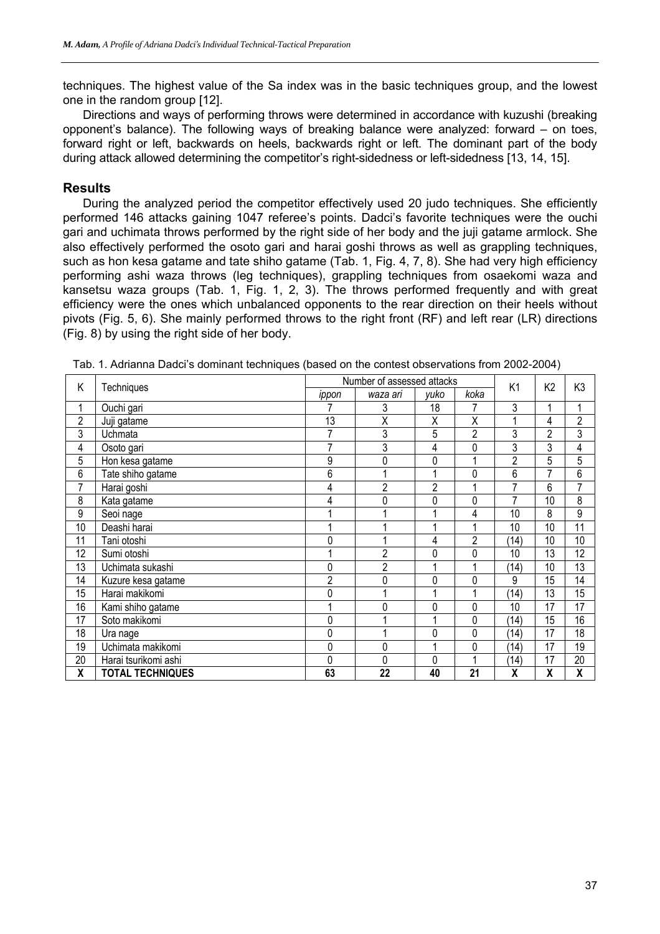techniques. The highest value of the Sa index was in the basic techniques group, and the lowest one in the random group [12].

Directions and ways of performing throws were determined in accordance with kuzushi (breaking opponent's balance). The following ways of breaking balance were analyzed: forward – on toes, forward right or left, backwards on heels, backwards right or left. The dominant part of the body during attack allowed determining the competitor's right-sidedness or left-sidedness [13, 14, 15].

### **Results**

During the analyzed period the competitor effectively used 20 judo techniques. She efficiently performed 146 attacks gaining 1047 referee's points. Dadci's favorite techniques were the ouchi gari and uchimata throws performed by the right side of her body and the juji gatame armlock. She also effectively performed the osoto gari and harai goshi throws as well as grappling techniques, such as hon kesa gatame and tate shiho gatame (Tab. 1, Fig. 4, 7, 8). She had very high efficiency performing ashi waza throws (leg techniques), grappling techniques from osaekomi waza and kansetsu waza groups (Tab. 1, Fig. 1, 2, 3). The throws performed frequently and with great efficiency were the ones which unbalanced opponents to the rear direction on their heels without pivots (Fig. 5, 6). She mainly performed throws to the right front (RF) and left rear (LR) directions (Fig. 8) by using the right side of her body.

| Κ              |                         | Number of assessed attacks |                |                |                | K <sub>1</sub> |                | K3                      |
|----------------|-------------------------|----------------------------|----------------|----------------|----------------|----------------|----------------|-------------------------|
|                | Techniques              | ippon                      | waza ari       | yuko           | koka           |                | K <sub>2</sub> |                         |
| 1              | Ouchi gari              |                            | 3              | 18             |                | 3              |                | 4                       |
| $\overline{2}$ | Juji gatame             | 13                         | Χ              | Χ              | X              |                | 4              | $\overline{2}$          |
| 3              | Uchmata                 |                            | 3              | 5              | $\overline{2}$ | 3              | $\overline{2}$ | 3                       |
| 4              | Osoto gari              |                            | 3              | 4              | 0              | 3              | 3              | 4                       |
| 5              | Hon kesa gatame         | 9                          | 0              | 0              |                | $\overline{2}$ | 5              | 5                       |
| 6              | Tate shiho gatame       | 6                          |                |                | 0              | 6              | 7              | 6                       |
| 7              | Harai goshi             |                            | $\overline{2}$ | $\overline{2}$ |                | 7              | 6              | 7                       |
| 8              | Kata gatame             |                            | 0              | 0              | 0              | 7              | 10             | 8                       |
| 9              | Seoi nage               |                            |                |                | 4              | 10             | 8              | 9                       |
| 10             | Deashi harai            |                            |                |                |                | 10             | 10             | 11                      |
| 11             | Tani otoshi             | 0                          |                | 4              | $\overline{2}$ | (14)           | 10             | 10                      |
| 12             | Sumi otoshi             |                            | $\overline{c}$ | 0              | 0              | 10             | 13             | 12                      |
| 13             | Uchimata sukashi        | 0                          | $\overline{2}$ |                |                | (14)           | 10             | 13                      |
| 14             | Kuzure kesa gatame      | $\overline{c}$             | 0              | 0              | $\Omega$       | 9              | 15             | 14                      |
| 15             | Harai makikomi          | 0                          |                |                |                | (14)           | 13             | 15                      |
| 16             | Kami shiho gatame       |                            | 0              | 0              | 0              | 10             | 17             | 17                      |
| 17             | Soto makikomi           | 0                          |                |                | 0              | (14)           | 15             | 16                      |
| 18             | Ura nage                | 0                          |                | 0              | 0              | (14)           | 17             | 18                      |
| 19             | Uchimata makikomi       | 0                          | 0              |                | 0              | (14)           | 17             | 19                      |
| 20             | Harai tsurikomi ashi    | 0                          | 0              | 0              |                | (14)           | 17             | 20                      |
| X              | <b>TOTAL TECHNIQUES</b> | 63                         | 22             | 40             | 21             | X              | X              | $\overline{\mathbf{X}}$ |

Tab. 1. Adrianna Dadci's dominant techniques (based on the contest observations from 2002-2004)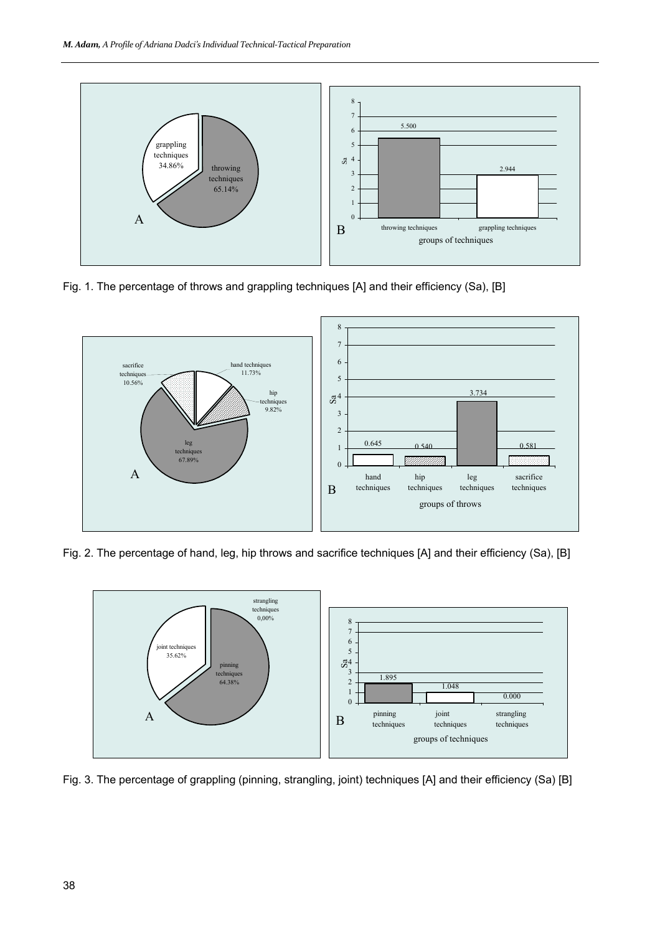

Fig. 1. The percentage of throws and grappling techniques [A] and their efficiency (Sa), [B]



Fig. 2. The percentage of hand, leg, hip throws and sacrifice techniques [A] and their efficiency (Sa), [B]



Fig. 3. The percentage of grappling (pinning, strangling, joint) techniques [A] and their efficiency (Sa) [B]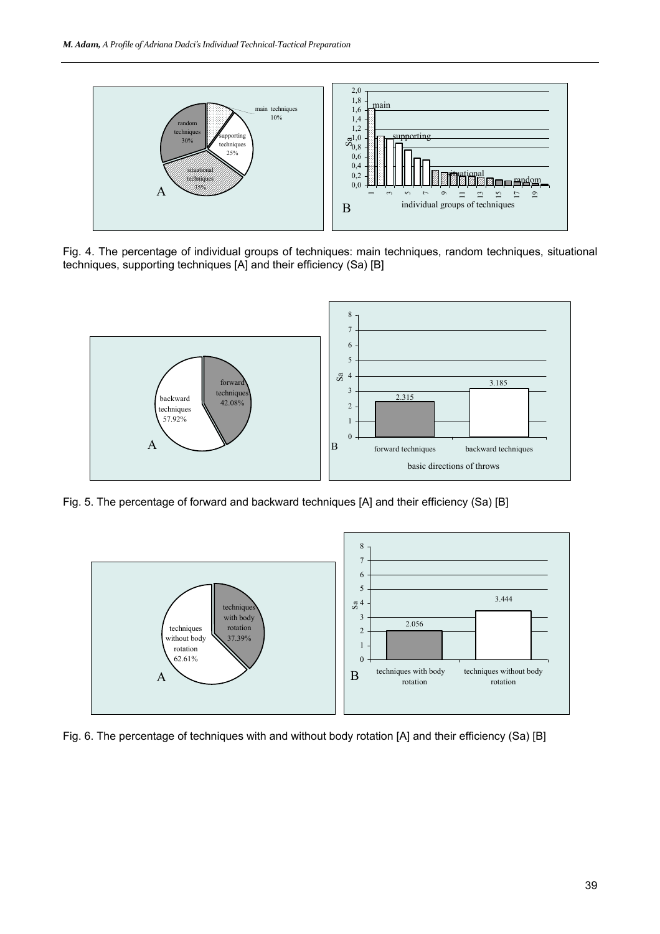

Fig. 4. The percentage of individual groups of techniques: main techniques, random techniques, situational techniques, supporting techniques [A] and their efficiency (Sa) [B]



Fig. 5. The percentage of forward and backward techniques [A] and their efficiency (Sa) [B]



Fig. 6. The percentage of techniques with and without body rotation [A] and their efficiency (Sa) [B]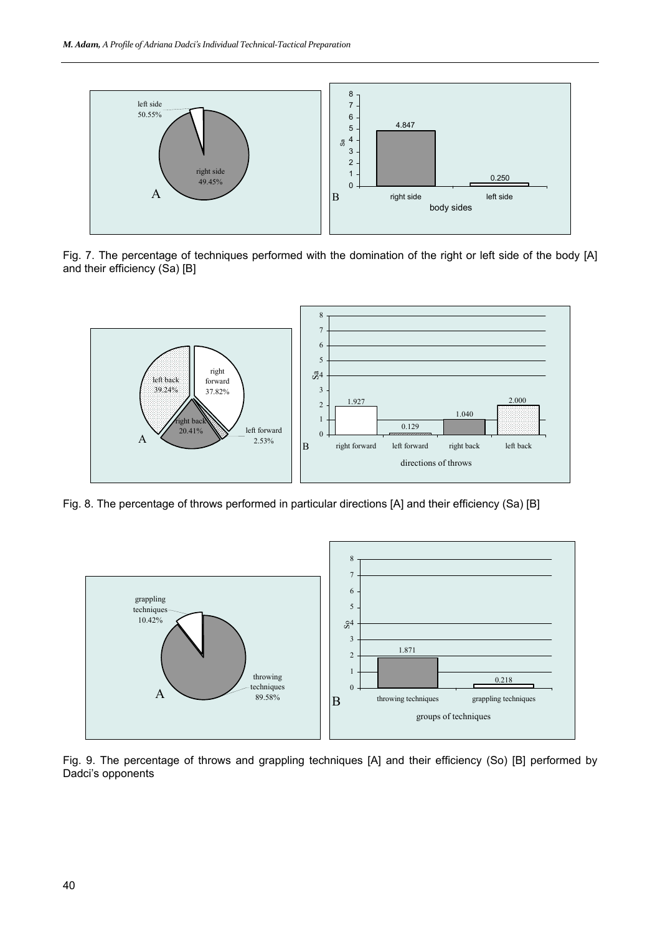

Fig. 7. The percentage of techniques performed with the domination of the right or left side of the body [A] and their efficiency (Sa) [B]



Fig. 8. The percentage of throws performed in particular directions [A] and their efficiency (Sa) [B]



Fig. 9. The percentage of throws and grappling techniques [A] and their efficiency (So) [B] performed by Dadci's opponents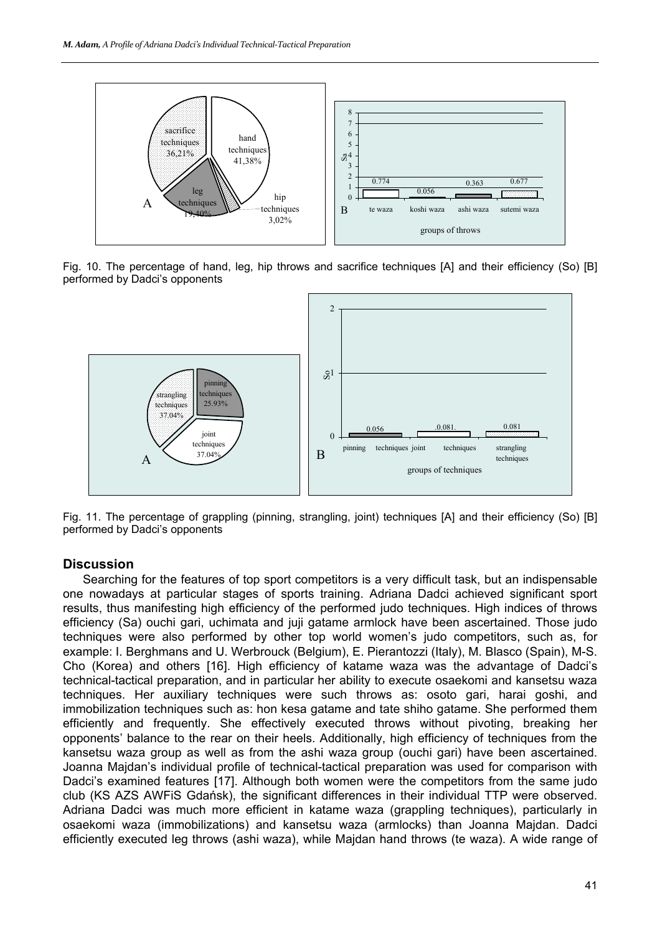

Fig. 10. The percentage of hand, leg, hip throws and sacrifice techniques [A] and their efficiency (So) [B] performed by Dadci's opponents



Fig. 11. The percentage of grappling (pinning, strangling, joint) techniques [A] and their efficiency (So) [B] performed by Dadci's opponents

#### **Discussion**

Searching for the features of top sport competitors is a very difficult task, but an indispensable one nowadays at particular stages of sports training. Adriana Dadci achieved significant sport results, thus manifesting high efficiency of the performed judo techniques. High indices of throws efficiency (Sa) ouchi gari, uchimata and juji gatame armlock have been ascertained. Those judo techniques were also performed by other top world women's judo competitors, such as, for example: I. Berghmans and U. Werbrouck (Belgium), E. Pierantozzi (Italy), M. Blasco (Spain), M-S. Cho (Korea) and others [16]. High efficiency of katame waza was the advantage of Dadci's technical-tactical preparation, and in particular her ability to execute osaekomi and kansetsu waza techniques. Her auxiliary techniques were such throws as: osoto gari, harai goshi, and immobilization techniques such as: hon kesa gatame and tate shiho gatame. She performed them efficiently and frequently. She effectively executed throws without pivoting, breaking her opponents' balance to the rear on their heels. Additionally, high efficiency of techniques from the kansetsu waza group as well as from the ashi waza group (ouchi gari) have been ascertained. Joanna Majdan's individual profile of technical-tactical preparation was used for comparison with Dadci's examined features [17]. Although both women were the competitors from the same judo club (KS AZS AWFiS Gdańsk), the significant differences in their individual TTP were observed. Adriana Dadci was much more efficient in katame waza (grappling techniques), particularly in osaekomi waza (immobilizations) and kansetsu waza (armlocks) than Joanna Majdan. Dadci efficiently executed leg throws (ashi waza), while Majdan hand throws (te waza). A wide range of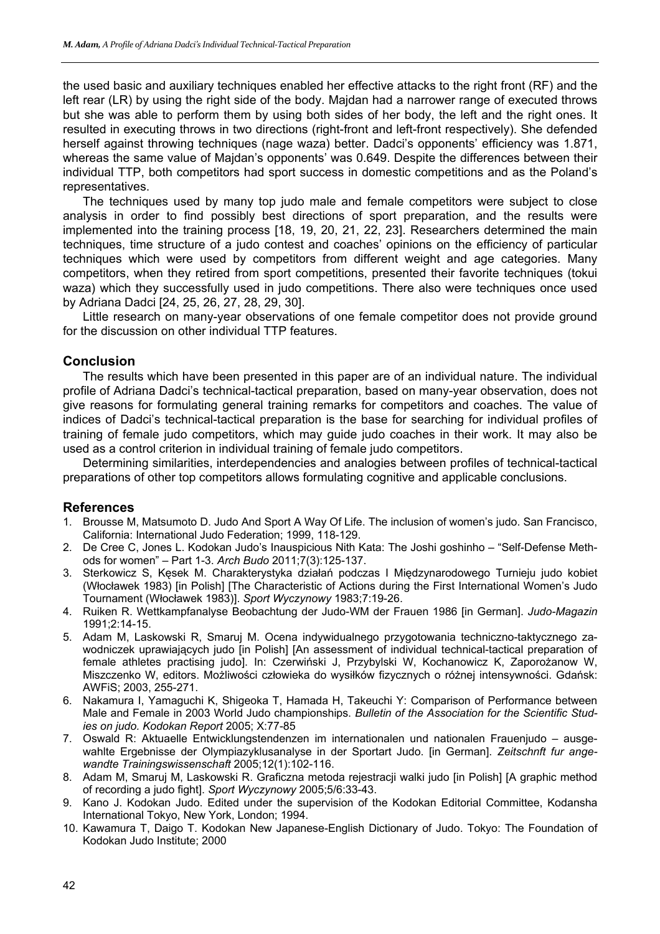the used basic and auxiliary techniques enabled her effective attacks to the right front (RF) and the left rear (LR) by using the right side of the body. Majdan had a narrower range of executed throws but she was able to perform them by using both sides of her body, the left and the right ones. It resulted in executing throws in two directions (right-front and left-front respectively). She defended herself against throwing techniques (nage waza) better. Dadci's opponents' efficiency was 1.871, whereas the same value of Majdan's opponents' was 0.649. Despite the differences between their individual TTP, both competitors had sport success in domestic competitions and as the Poland's representatives.

The techniques used by many top judo male and female competitors were subject to close analysis in order to find possibly best directions of sport preparation, and the results were implemented into the training process [18, 19, 20, 21, 22, 23]. Researchers determined the main techniques, time structure of a judo contest and coaches' opinions on the efficiency of particular techniques which were used by competitors from different weight and age categories. Many competitors, when they retired from sport competitions, presented their favorite techniques (tokui waza) which they successfully used in judo competitions. There also were techniques once used by Adriana Dadci [24, 25, 26, 27, 28, 29, 30].

Little research on many-year observations of one female competitor does not provide ground for the discussion on other individual TTP features.

### **Conclusion**

The results which have been presented in this paper are of an individual nature. The individual profile of Adriana Dadci's technical-tactical preparation, based on many-year observation, does not give reasons for formulating general training remarks for competitors and coaches. The value of indices of Dadci's technical-tactical preparation is the base for searching for individual profiles of training of female judo competitors, which may guide judo coaches in their work. It may also be used as a control criterion in individual training of female judo competitors.

Determining similarities, interdependencies and analogies between profiles of technical-tactical preparations of other top competitors allows formulating cognitive and applicable conclusions.

#### **References**

- 1. Brousse M, Matsumoto D. Judo And Sport A Way Of Life. The inclusion of women's judo. San Francisco, California: International Judo Federation; 1999, 118-129.
- 2. De Cree C, Jones L. Kodokan Judo's Inauspicious Nith Kata: The Joshi goshinho "Self-Defense Methods for women" – Part 1-3. *Arch Budo* 2011;7(3):125-137.
- 3. Sterkowicz S, Kęsek M. Charakterystyka działań podczas I Międzynarodowego Turnieju judo kobiet (Włocławek 1983) [in Polish] [The Characteristic of Actions during the First International Women's Judo Tournament (Włocławek 1983)]. *Sport Wyczynowy* 1983;7:19-26.
- 4. Ruiken R. Wettkampfanalyse Beobachtung der Judo-WM der Frauen 1986 [in German]. *Judo-Magazin* 1991;2:14-15.
- 5. Adam M, Laskowski R, Smaruj M. Ocena indywidualnego przygotowania techniczno-taktycznego zawodniczek uprawiających judo [in Polish] [An assessment of individual technical-tactical preparation of female athletes practising judo]. In: Czerwiński J, Przybylski W, Kochanowicz K, Zaporożanow W, Miszczenko W, editors. Możliwości człowieka do wysiłków fizycznych o różnej intensywności. Gdańsk: AWFiS; 2003, 255-271.
- 6. Nakamura I, Yamaguchi K, Shigeoka T, Hamada H, Takeuchi Y: Comparison of Performance between Male and Female in 2003 World Judo championships. *Bulletin of the Association for the Scientific Studies on judo. Kodokan Report* 2005; X:77-85
- 7. Oswald R: Aktuaelle Entwicklungstendenzen im internationalen und nationalen Frauenjudo ausgewahlte Ergebnisse der Olympiazyklusanalyse in der Sportart Judo. [in German]. *Zeitschnft fur angewandte Trainingswissenschaft* 2005;12(1):102-116.
- 8. Adam M, Smaruj M, Laskowski R. Graficzna metoda rejestracji walki judo [in Polish] [A graphic method of recording a judo fight]. *Sport Wyczynowy* 2005;5/6:33-43.
- 9. Kano J. Kodokan Judo. Edited under the supervision of the Kodokan Editorial Committee, Kodansha International Tokyo, New York, London; 1994.
- 10. Kawamura T, Daigo T. Kodokan New Japanese-English Dictionary of Judo. Tokyo: The Foundation of Kodokan Judo Institute; 2000